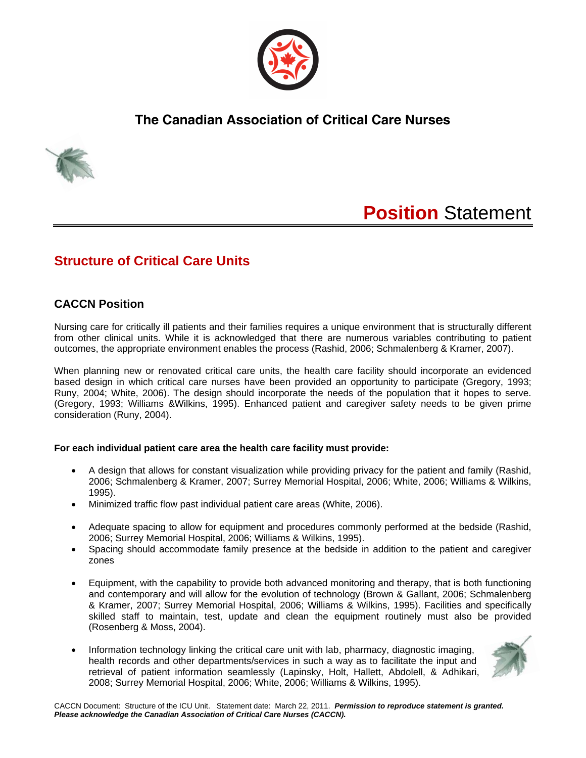

## **The Canadian Association of Critical Care Nurses**



# **Position** Statement

## **Structure of Critical Care Units**

### **CACCN Position**

Nursing care for critically ill patients and their families requires a unique environment that is structurally different from other clinical units. While it is acknowledged that there are numerous variables contributing to patient outcomes, the appropriate environment enables the process (Rashid, 2006; Schmalenberg & Kramer, 2007).

When planning new or renovated critical care units, the health care facility should incorporate an evidenced based design in which critical care nurses have been provided an opportunity to participate (Gregory, 1993; Runy, 2004; White, 2006). The design should incorporate the needs of the population that it hopes to serve. (Gregory, 1993; Williams &Wilkins, 1995). Enhanced patient and caregiver safety needs to be given prime consideration (Runy, 2004).

#### **For each individual patient care area the health care facility must provide:**

- A design that allows for constant visualization while providing privacy for the patient and family (Rashid, 2006; Schmalenberg & Kramer, 2007; Surrey Memorial Hospital, 2006; White, 2006; Williams & Wilkins, 1995).
- Minimized traffic flow past individual patient care areas (White, 2006).
- Adequate spacing to allow for equipment and procedures commonly performed at the bedside (Rashid, 2006; Surrey Memorial Hospital, 2006; Williams & Wilkins, 1995).
- Spacing should accommodate family presence at the bedside in addition to the patient and caregiver zones
- Equipment, with the capability to provide both advanced monitoring and therapy, that is both functioning and contemporary and will allow for the evolution of technology (Brown & Gallant, 2006; Schmalenberg & Kramer, 2007; Surrey Memorial Hospital, 2006; Williams & Wilkins, 1995). Facilities and specifically skilled staff to maintain, test, update and clean the equipment routinely must also be provided (Rosenberg & Moss, 2004).
- Information technology linking the critical care unit with lab, pharmacy, diagnostic imaging, health records and other departments/services in such a way as to facilitate the input and retrieval of patient information seamlessly (Lapinsky, Holt, Hallett, Abdolell, & Adhikari, 2008; Surrey Memorial Hospital, 2006; White, 2006; Williams & Wilkins, 1995).

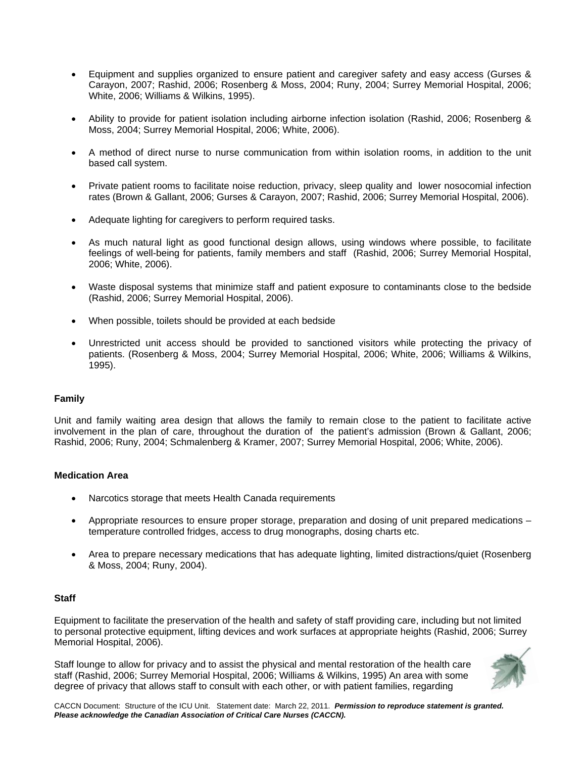- Equipment and supplies organized to ensure patient and caregiver safety and easy access (Gurses & Carayon, 2007; Rashid, 2006; Rosenberg & Moss, 2004; Runy, 2004; Surrey Memorial Hospital, 2006; White, 2006; Williams & Wilkins, 1995).
- Ability to provide for patient isolation including airborne infection isolation (Rashid, 2006; Rosenberg & Moss, 2004; Surrey Memorial Hospital, 2006; White, 2006).
- A method of direct nurse to nurse communication from within isolation rooms, in addition to the unit based call system.
- Private patient rooms to facilitate noise reduction, privacy, sleep quality and lower nosocomial infection rates (Brown & Gallant, 2006; Gurses & Carayon, 2007; Rashid, 2006; Surrey Memorial Hospital, 2006).
- Adequate lighting for caregivers to perform required tasks.
- As much natural light as good functional design allows, using windows where possible, to facilitate feelings of well-being for patients, family members and staff (Rashid, 2006; Surrey Memorial Hospital, 2006; White, 2006).
- Waste disposal systems that minimize staff and patient exposure to contaminants close to the bedside (Rashid, 2006; Surrey Memorial Hospital, 2006).
- When possible, toilets should be provided at each bedside
- Unrestricted unit access should be provided to sanctioned visitors while protecting the privacy of patients. (Rosenberg & Moss, 2004; Surrey Memorial Hospital, 2006; White, 2006; Williams & Wilkins, 1995).

#### **Family**

Unit and family waiting area design that allows the family to remain close to the patient to facilitate active involvement in the plan of care, throughout the duration of the patient's admission (Brown & Gallant, 2006; Rashid, 2006; Runy, 2004; Schmalenberg & Kramer, 2007; Surrey Memorial Hospital, 2006; White, 2006).

#### **Medication Area**

- Narcotics storage that meets Health Canada requirements
- Appropriate resources to ensure proper storage, preparation and dosing of unit prepared medications temperature controlled fridges, access to drug monographs, dosing charts etc.
- Area to prepare necessary medications that has adequate lighting, limited distractions/quiet (Rosenberg & Moss, 2004; Runy, 2004).

#### **Staff**

Equipment to facilitate the preservation of the health and safety of staff providing care, including but not limited to personal protective equipment, lifting devices and work surfaces at appropriate heights (Rashid, 2006; Surrey Memorial Hospital, 2006).

Staff lounge to allow for privacy and to assist the physical and mental restoration of the health care staff (Rashid, 2006; Surrey Memorial Hospital, 2006; Williams & Wilkins, 1995) An area with some degree of privacy that allows staff to consult with each other, or with patient families, regarding



CACCN Document: Structure of the ICU Unit. Statement date: March 22, 2011. *Permission to reproduce statement is granted. Please acknowledge the Canadian Association of Critical Care Nurses (CACCN).*